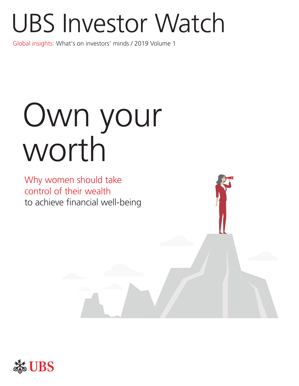# UBS Investor Watch

Global insights: What's on investors' minds / 2019 Volume 1

# Own your worth

Why women should take control of their wealth to achieve financial well-being



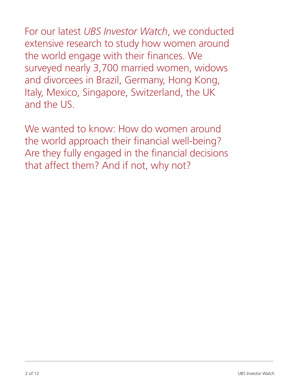For our latest *UBS Investor Watch*, we conducted extensive research to study how women around the world engage with their finances. We surveyed nearly 3,700 married women, widows and divorcees in Brazil, Germany, Hong Kong, Italy, Mexico, Singapore, Switzerland, the UK and the US.

We wanted to know: How do women around the world approach their financial well-being? Are they fully engaged in the financial decisions that affect them? And if not, why not?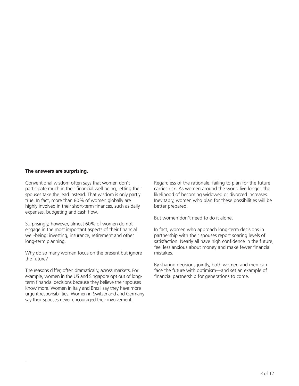#### **The answers are surprising.**

Conventional wisdom often says that women don't participate much in their financial well-being, letting their spouses take the lead instead. That wisdom is only partly true. In fact, more than 80% of women globally are highly involved in their short-term finances, such as daily expenses, budgeting and cash flow.

Surprisingly, however, almost 60% of women do not engage in the most important aspects of their financial well-being: investing, insurance, retirement and other long-term planning.

Why do so many women focus on the present but ignore the future?

The reasons differ, often dramatically, across markets. For example, women in the US and Singapore opt out of longterm financial decisions because they believe their spouses know more. Women in Italy and Brazil say they have more urgent responsibilities. Women in Switzerland and Germany say their spouses never encouraged their involvement.

Regardless of the rationale, failing to plan for the future carries risk. As women around the world live longer, the likelihood of becoming widowed or divorced increases. Inevitably, women who plan for these possibilities will be better prepared.

But women don't need to do it alone.

In fact, women who approach long-term decisions in partnership with their spouses report soaring levels of satisfaction. Nearly all have high confidence in the future, feel less anxious about money and make fewer financial mistakes.

By sharing decisions jointly, both women and men can face the future with optimism—and set an example of financial partnership for generations to come.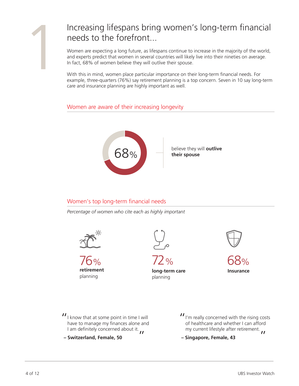## 1Increasing lifespans bring women's long-term financial needs to the forefront...

Women are expecting a long future, as lifespans continue to increase in the majority of the world, and experts predict that women in several countries will likely live into their nineties on average. In fact, 68% of women believe they will outlive their spouse.

With this in mind, women place particular importance on their long-term financial needs. For example, three-quarters (76%) say retirement planning is a top concern. Seven in 10 say long-term care and insurance planning are highly important as well.

## Women are aware of their increasing longevity



## Women's top long-term financial needs

*Percentage of women who cite each as highly important*



**retirement**  planning



76% 72%

**long-term care**  planning





 $II$  I know that at some point in time I will have to manage my finances alone and have to manage my finances alone and I am definitely concerned about it.

**– Switzerland, Female, 50**

 $\frac{I}{I}$  I'm really concerned with the rising costs of healthcare and whether I can afford of healthcare and whether I can afford my current lifestyle after retirement.

**– Singapore, Female, 43**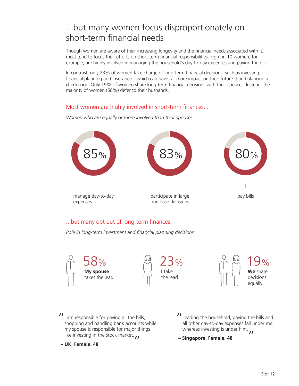# ...but many women focus disproportionately on short-term financial needs

Though women are aware of their increasing longevity and the financial needs associated with it, most tend to focus their efforts on short-term financial responsibilities. Eight in 10 women, for example, are highly involved in managing the household's day-to-day expenses and paying the bills.

In contrast, only 23% of women take charge of long-term financial decisions, such as investing, financial planning and insurance—which can have far more impact on their future than balancing a checkbook. Only 19% of women share long-term financial decisions with their spouses. Instead, the majority of women (58%) defer to their husbands.

### Most women are highly involved in short-term finances...



*Women who are equally or more involved than their spouses*

### ...but many opt out of long-term finances

*Role in long-term investment and financial planning decisions*



 $II$  am responsible for paying all the bills, shopping and handling bank accounts  $x$ shopping and handling bank accounts while my spouse is responsible for major things like investing in the stock market.  $\bm{\mu}$ 

**– UK, Female, 48**

- I Leading the household, paying the bills and<br>all other day-to-day expenses fall under me. all other day-to-day expenses fall under me, whereas investing is under him.
- **Singapore, Female, 48**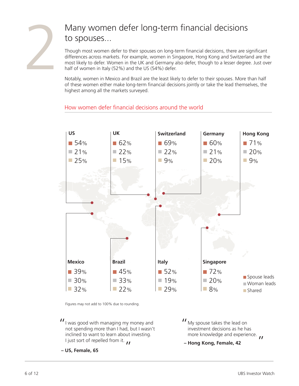

# Many women defer long-term financial decisions to spouses...

Though most women defer to their spouses on long-term financial decisions, there are significant differences across markets. For example, women in Singapore, Hong Kong and Switzerland are the most likely to defer. Women in the UK and Germany also defer, though to a lesser degree. Just over half of women in Italy (52%) and the US (54%) defer.

Notably, women in Mexico and Brazil are the least likely to defer to their spouses. More than half of these women either make long-term financial decisions jointly or take the lead themselves, the highest among all the markets surveyed.

## How women defer financial decisions around the world



Figures may not add to 100% due to rounding.

 $II$  I was good with managing my money and<br>not spending more than I had, but I wasn't not spending more than I had, but I wasn't inclined to want to learn about investing. I just sort of repelled from it.

My spouse takes the lead on " investment decisions as he has more knowledge and experience.

**– Hong Kong, Female, 42**

**– US, Female, 65**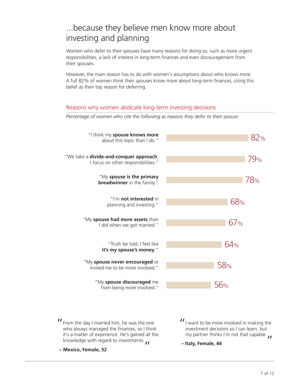## ...because they believe men know more about investing and planning

Women who defer to their spouses have many reasons for doing so, such as more urgent responsibilities, a lack of interest in long-term finances and even discouragement from their spouses.

However, the main reason has to do with women's assumptions about who knows more. A full 82% of women think their spouses know more about long-term finances, citing this belief as their top reason for deferring.

#### Reasons why women abdicate long-term investing decisions

*Percentage of women who cite the following as reasons they defer to their spouse*



**– Mexico, Female, 52**

**– Italy, Female, 44**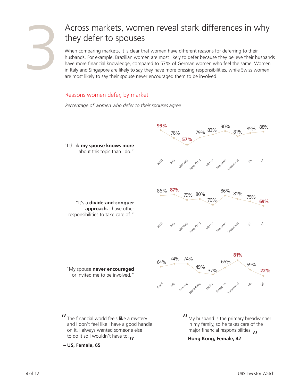

# Across markets, women reveal stark differences in why they defer to spouses

When comparing markets, it is clear that women have different reasons for deferring to their husbands. For example, Brazilian women are most likely to defer because they believe their husbands have more financial knowledge, compared to 57% of German women who feel the same. Women in Italy and Singapore are likely to say they have more pressing responsibilities, while Swiss women are most likely to say their spouse never encouraged them to be involved.

#### Reasons women defer, by market

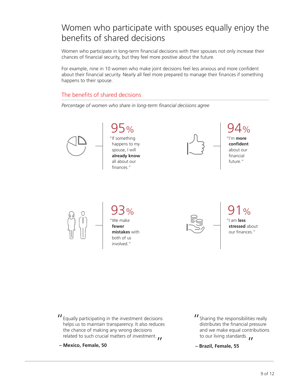# Women who participate with spouses equally enjoy the benefits of shared decisions

Women who participate in long-term financial decisions with their spouses not only increase their chances of financial security, but they feel more positive about the future.

For example, nine in 10 women who make joint decisions feel less anxious and more confident about their financial security. Nearly all feel more prepared to manage their finances if something happens to their spouse.

### The benefits of shared decisions

*Percentage of women who share in long-term financial decisions agree*











93% "We make **fewer mistakes** with both of us involved."



91% "I am **less stressed** about our finances."

- II Equally participating in the investment decisions<br>helps us to maintain transparency. It also reduces helps us to maintain transparency. It also reduces the chance of making any wrong decisions related to such crucial matters of investment.
- **Mexico, Female, 50**
- I Sharing the responsibilities really<br>distributes the financial pressure distributes the financial pressure and we make equal contributions to our living standards.
- **Brazil, Female, 55**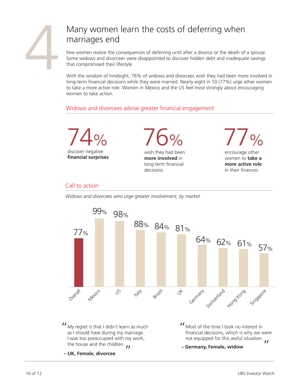

# Many women learn the costs of deferring when marriages end

Few women realize the consequences of deferring until after a divorce or the death of a spouse. Some widows and divorcees were disappointed to discover hidden debt and inadequate savings that compromised their lifestyle.

With the wisdom of hindsight, 76% of widows and divorcees wish they had been more involved in long-term financial decisions while they were married. Nearly eight in 10 (77%) urge other women to take a more active role. Women in Mexico and the US feel most strongly about encouraging women to take action.

## Widows and divorcees advise greater financial engagement



#### Call to action

*Widows and divorcees who urge greater involvement, by market*

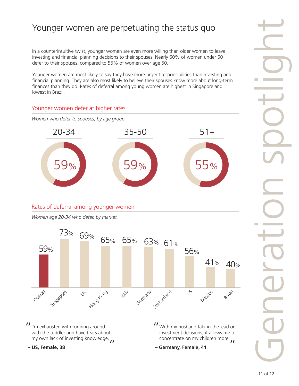## Younger women are perpetuating the status quo

In a counterintuitive twist, younger women are even more willing than older women to leave investing and financial planning decisions to their spouses. Nearly 60% of women under 50 defer to their spouses, compared to 55% of women over age 50.

Younger women are most likely to say they have more urgent responsibilities than investing and financial planning. They are also most likely to believe their spouses know more about long-term finances than they do. Rates of deferral among young women are highest in Singapore and lowest in Brazil.

## Younger women defer at higher rates



### Rates of deferral among younger women

*Women age 20-34 who defer, by market*